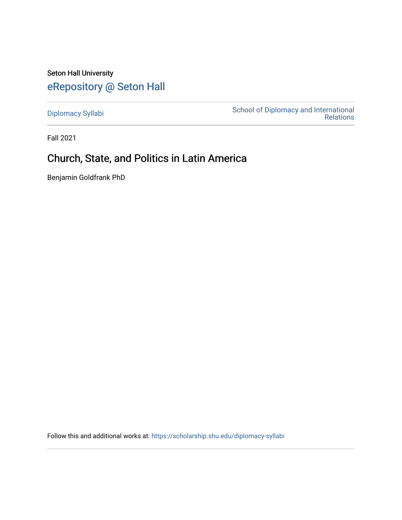Seton Hall University [eRepository @ Seton Hall](https://scholarship.shu.edu/)

[Diplomacy Syllabi](https://scholarship.shu.edu/diplomacy-syllabi) [School of Diplomacy and International](https://scholarship.shu.edu/diplomacy)  [Relations](https://scholarship.shu.edu/diplomacy) 

Fall 2021

# Church, State, and Politics in Latin America

Benjamin Goldfrank PhD

Follow this and additional works at: [https://scholarship.shu.edu/diplomacy-syllabi](https://scholarship.shu.edu/diplomacy-syllabi?utm_source=scholarship.shu.edu%2Fdiplomacy-syllabi%2F610&utm_medium=PDF&utm_campaign=PDFCoverPages)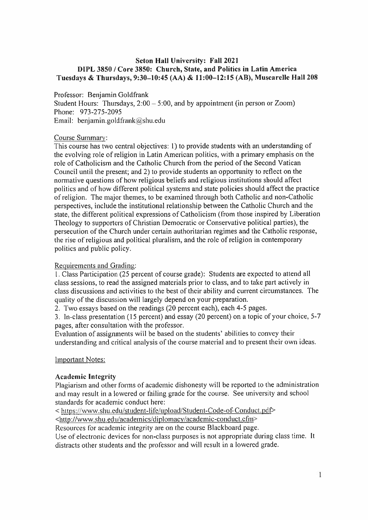# **Seton Hall University: Fall 2021 DIPL 3850 / Core 3850: Church, State, and Politics in Latin America** Tuesdays & Thursdays, 9:30-10:45 (AA) & 11:00-12:15 (AB), Muscarelle Hall 208

#### Professor: Benjamin Goldfrank

Student Hours: Thursdays,  $2:00 - 5:00$ , and by appointment (in person or Zoom) Phone: 973-275-2095 Email: benjamin.goldfrank@shu.edu

#### Course Summary:

This course has two central objectives: 1) to provide students with an understanding of the evolving role of religion in Latin American politics, with <sup>a</sup> primary emphasis on the role of Catholicism and the Catholic Church from the period of the Second Vatican Council until the present; and 2) to provide students an opportunity to reflect on the normative questions of how religious beliefs and religious institutions should affect politics and of how different political systems and state policies should affect the practice of religion. The major themes, to be examined through both Catholic and non-Catholic perspectives, include the institutional relationship between the Catholic Church and the state, the different political expressions of Catholicism (from those inspired by Liberation Theology to supporters of Christian Democratic or Conservative political parties), the persecution of the Church under certain authoritarian regimes and the Catholic response, the rise of religious and political <sup>p</sup>luralism, and the role of religion in contemporary politics and public policy.

# Requirements and Grading:

1 . Class Participation (25 percen<sup>t</sup> of course grade): Students are expected to attend all class sessions, to read the assigned materials prior to class, and to take par<sup>t</sup> actively in class discussions and activities to the best of their ability and current circumstances. The quality of the discussion will largely depend on your preparation.

2. Two essays based on the readings (20 percen<sup>t</sup> each), each 4-5 pages.

3. In-class presentation (15 percent) and essay (20 percent) on <sup>a</sup> topic of your choice, 5-<sup>7</sup> pages, after consultation with the professor.

Evaluation of assignments will be based on the students' abilities to convey their understanding and critical analysis of the course material and to presen<sup>t</sup> their own ideas.

# Important Notes:

# **Academic Integrity**

Plagiarism and other forms of academic dishonesty will be reported to the administration and may result in <sup>a</sup> lowered or failing grade for the course. See university and school standards for academic conduct here:

< https://www.shu.edu/student-life/upload/Student-Code-of-Conduct.pdf>

<http://www.shu.edu/academics/diplomacv/academic-conduct.cfm<sup>&</sup>gt;

Resources for academic integrity are on the course Blackboard page.

Use of electronic devices for non-class purposes is not appropriate during class time. It distracts other students and the professor and will result in <sup>a</sup> lowered grade.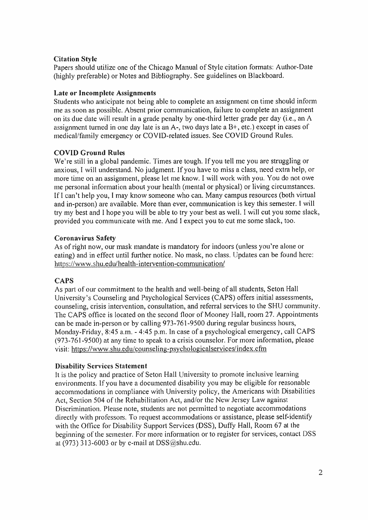# Citation Style

Papers should utilize one of the Chicago Manual of Style citation formats: Author-Date (highly preferable) or Notes and Bibliography. See guidelines on Blackboard.

# Late or Incomplete Assignments

Students who anticipate not being able to complete an assignment on time should inform me as soon as possible. Absent prior communication, failure to complete an assignment on its due date will result in <sup>a</sup> grade penalty by one-third letter grade per day (i.e., an <sup>A</sup> assignment turned in one day late is an  $A-$ , two days late a  $B+$ , etc.) except in cases of medical/family emergency or COVID-related issues. See COVID Ground Rules.

# COVID Ground Rules

We're still in a global pandemic. Times are tough. If you tell me you are struggling or anxious, I will understand. No judgment. If you have to miss <sup>a</sup> class, need extra help, or more time on an assignment, <sup>p</sup>lease let me know. I will work with you. You do not owe me personal information about your health (mental or physical) or living circumstances. If I can'<sup>t</sup> help you, <sup>I</sup> may know someone who can. Many campus resources (both virtual and in-person) are available. More than ever, communication is key this semester. <sup>I</sup> will try my best and <sup>I</sup> hope you will be able to try your best as well. I will cut you some slack, provided you communicate with me. And <sup>I</sup> expec<sup>t</sup> you to cut me some slack, too.

# Coronavirus Safety

As of right now, our mask mandate is mandatory for indoors (unless you're alone or eating) and in effect until further notice. No mask, no class. Updates can be found here: https://www.shu.edu/health-intervention-communication/

# **CAPS**

As par<sup>t</sup> of our commitment to the health and well-being of all students, Seton Hall University'<sup>s</sup> Counseling and Psychological Services (CAPS) offers initial assessments, counseling, crisis intervention, consultation, and referral services to the SHU community. The CAPS office is located on the second floor of Mooney Hall, room 27. Appointments can be made in-person or by calling 973-761-9500 during regular business hours, Monday-Friday, 8:45 <sup>a</sup>.m. - 4:45 <sup>p</sup>.m. In case of <sup>a</sup> psychological emergency, call CAPS (973-761-9500) at any time to speak to <sup>a</sup> crisis counselor. For more information, please visit: https://www.shu.edu/counseling-psvchologicalservices/index.cfm

# Disability Services Statement

It is the policy and practice of Seton Hall University to promote inclusive learning environments. If you have <sup>a</sup> documented disability you may be eligible for reasonable accommodations in compliance with University policy, the Americans with Disabilities Act, Section 504 of the Rehabilitation Act, and/or the New Jersey Law against Discrimination. Please note, students are not permitted to negotiate accommodations directly with professors. To reques<sup>t</sup> accommodations or assistance, <sup>p</sup>lease self-identify with the Office for Disability Support Services (DSS), Duffy Hall, Room 67 at the beginning of the semester. For more information or to register for services, contact DSS at (973) 313-6003 or by e-mail at  $DSS@shu.edu$ .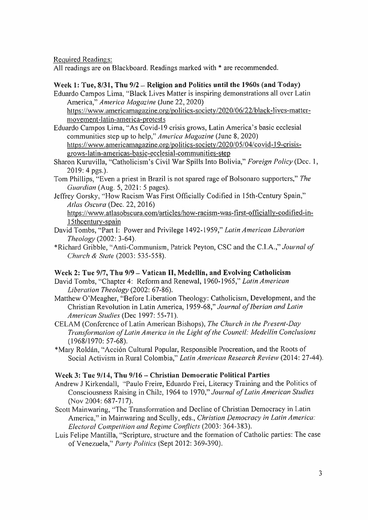Required Readings:

All readings are on Blackboard. Readings marked with \* are recommended.

# Week 1: Tue,  $8/31$ , Thu  $9/2$  – Religion and Politics until the 1960s (and Today)

Eduardo Campos Lima, "Black Lives Matter is inspiring demonstrations all over Latin America," *America Magazine* (June 22, 2020)

https://www.americamagazine.org/politics-societv/2020/06/22/black-lives-mattermovement-latin-america-protests

- Eduardo Campos Lima, "As Covid-19 crisis grows, Latin America's basic ecclesial communities step up to help," *America Magazine* (June 8, 2020) https://www.americamagazine.org/politics-societv/202Q/05/04/covid-19-crisisgrows-latin-americas-basic-ecclesial-communities-step
- Sharon Kuruvilla, "Catholicism's Civil War Spills Into Bolivia," *Foreign Policy* (Dec. 1, 2019: 4 pgs.).
- Tom Phillips, "Even <sup>a</sup> priest in Brazil is not spared rage of Bolsonaro supporters," *The Guardian* (Aug. 5, 2021: 5 pages).
- Jeffrey Gorsky, "How Racism Was First Officially Codified in <sup>15</sup>th-Century Spain," *Atlas Oscura* (Dec. 22, 2016)

https://www.atlasobscura.com/articles/how-racism-was-first-officiallv-codified-in-15thcentury-spain

- David Tombs, "Part 1: Power and Privilege 1492-1959," *Latin American Liberation Theology* (2002: 3-64).
- Richard Gribble, "Anti-Communism, Patrick Peyton, CSC and the C.I.A.," *Journal of Church & State* (2003: 535-558).

# **Week 2: Tue 9/7, Thu 9/9 - Vatican II, Medellin, and Evolving Catholicism**

- David Tombs, "Chapter 4: Reform and Renewal, 1960-1965," *Latin American Liberation Theology* (2002: 67-86).
- Matthew O'Meagher, "Before Liberation Theology: Catholicism, Development, and the Christian Revolution in Latin America, 1959-68," *Journal of Iberian and Latin American Studies* (Dec 1997: 55-71).
- CELAM (Conference of Latin American Bishops), *The Church in the Present-Day Transformation of Latin America in the Light of the Council: Medellin Conclusions* (1968/1970: 57-68).
- Mary Roldan, "Accion Cultural Popular, Responsible Procreation, and the Roots of Social Activism in Rural Colombia," *Latin American Research Review* (2014: 27-44).

# **Week 3: Tue 9/14, Thu 9/16 -Christian Democratic Political Parties**

- Andrew J Kirkendall, "Paulo Freire, Eduardo Frei, Literacy Training and the Politics of Consciousness Raising in Chile, 1964 to 1970," *Journal of Latin American Studies* (Nov 2004: 687-717).
- Scott Mainwaring, "The Transformation and Decline of Christian Democracy in Latin America," in Mainwaring and Scully, eds., *Christian Democracy in Latin America: Electoral Competition and Regime Conflicts* (2003: 364-383).
- Luis Felipe Mantilla, "Scripture, structure and the formation of Catholic parties: The case of Venezuela," *Party Politics* (Sept 2012: 369-390).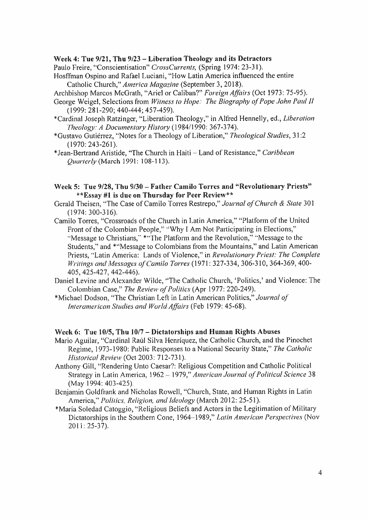#### **Week** 4: **Tue 9/21, Thu 9/23** -**Liberation Theology and its Detractors**

Paulo Freire, "Conscientisation" *CrossCurrents,* (Spring 1974: 23-31).

Hosffman Ospino and Rafael Luciani, "How Latin America influenced the entire Catholic Church," *America Magazine* (September 3, 2018).

Archbishop Marcos McGrath, "Ariel or Caliban?" *Foreign Affairs* (Oct 1973: 75-95).

- George Weigel, Selections from *Witness to Hope: The Biography of Pope John Paul II* (1999: 281-290; 440-444; 457-459).
- \*Cardinal Joseph Ratzinger, "Liberation Theology," in Alfred Hennelly, ed., *Liberation Theology: A Documentary History* (1984/1990: 367-374).
- \*Gustavo Gutierrez, "Notes for <sup>a</sup> Theology of Liberation," *Theological Studies,* 31:2 (1970: 243-261).
- \*Jean-Bertrand Aristide, "The Church in Haiti Land of Resistance," *Caribbean Quarterly* (March 1991: 108-113).
- **Week 5: Tue 9/28, Thu 9/30 - Father Camilo Torres and "Revolutionary Priests" \*\*Essay #1 is due on Thursday for Peer Review\*\***
- Gerald Theisen, "The Case of Camilo Torres Restrepo," Journal of Church & State 301 (1974: 300-316).
- Camilo Torres, "Crossroads of the Church in Latin America," "Platform of the United Front of the Colombian People," "Why I Am Not Participating in Elections," "Message to Christians," \*"The Platform and the Revolution," "Message to the Students," and \*"Message to Colombians from the Mountains," and Latin American Priests, "Latin America: Lands of Violence," in *Revolutionary Priest: The Complete Writings and Messages of Camilo Torres*(1971: 327-334, 306-310, 364-369, 400- 405, 425-427, 442-446).
- Daniel Levine and Alexander Wilde, "The Catholic Church, 'Politics,' and Violence: The Colombian Case," *The Review of Politics* (Apr 1977: 220-249).
- \*Michael Dodson, "The Christian Left in Latin American Politics," *Journal of Interamerican Studies and World Affairs* (Feb 1979: 45-68).

#### **Week 6: Tue 10/5, Thu 10/7 - Dictatorships and Human Rights Abuses**

- Mario Aguilar, "Cardinal Raúl Silva Henríquez, the Catholic Church, and the Pinochet Regime, 1973-1980: Public Responses to <sup>a</sup> National Security State," *The Catholic Historical Review* (Oct 2003: 712-731).
- Anthony Gill, "Rendering Unto Caesar?: Religious Competition and Catholic Political Strategy in Latin America, 1962 -1979," *American Journal of Political Science* 38 (May 1994: 403-425).
- Benjamin Goldfrank and Nicholas Rowell, "Church, State, and Human Rights in Latin America," *Politics, Religion, and Ideology* (March 2012: 25-51).
- \*Maria Soledad Catoggio, "Religious Beliefs and Actors in the Legitimation of Military Dictatorships in the Southern Cone, 1964 1989," *Latin American Perspectives* (Nov 2011: 25-37).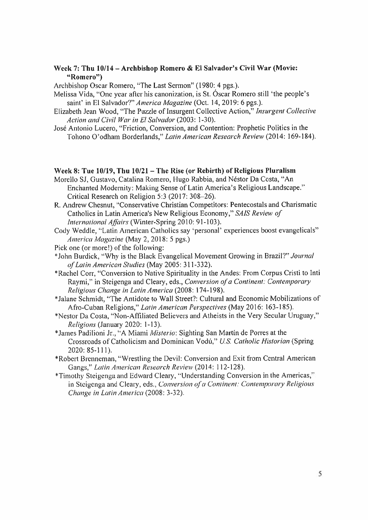#### **Week 7: Thu 10/14 - Archbishop Romero & El Salvador'<sup>s</sup> Civil War (Movie: "Romero")**

Archbishop Oscar Romero, "The Last Sermon" (1980: 4 pgs.).

Melissa Vida, "One year after his canonization, is St. Oscar Romero still 'the people'<sup>s</sup> saint' in El Salvador?" *America Magazine* (Oct. 14, 2019: 6 pgs.).

- Elizabeth Jean Wood, "The Puzzle of Insurgent Collective Action," *Insurgent Collective Action and Civil War in El Salvador* (2003: 1-30).
- Jose Antonio Lucero, "Friction, Conversion, and Contention: Prophetic Politics in the Tohono O'odham Borderlands," *Latin American Research Review* (2014: 169-184).

#### **Week 8: Tue 10/19, Thu 10/21 -The Rise (or Rebirth) of Religious Pluralism**

- Morello SJ, Gustavo, Catalina Romero, Hugo Rabbia, and Nestor Da Costa, "An Enchanted Modernity: Making Sense of Latin America's Religious Landscape." Critical Research on Religion 5:3 (2017: 308-26).
- R. Andrew Chesnut, "Conservative Christian Competitors: Pentecostals and Charismatic Catholics in Latin America'<sup>s</sup> New Religious Economy," *SAIS Review of International Affairs* (Winter-Spring 2010: 91-103).
- Cody Weddle, "Latin American Catholics say 'personal' experiences boost evangelicals" *America Magazine* (May 2, 2018: 5 pgs.)
- Pick one (or more!) of the following:

\*John Burdick, "Why is the Black Evangelical Movement Growing in Brazil?" *Journal of Latin American Studies* (May 2005: 311-332).

\*Rachel Corr, "Conversion to Native Spirituality in the Andes: From Corpus Cristi to Inti Raymi," in Steigenga and Cleary, eds., *Conversion of <sup>a</sup> Continent: Contemporary ReligiousChange in Latin America* (2008: 174-198).

\*Jalane Schmidt, "The Antidote to Wall Street?: Cultural and Economic Mobilizations of Afro-Cuban Religions," *Latin American Perspectives* (May 2016: 163-185).

\*Nestor Da Costa, "Non-Affiliated Believers and Atheists in the Very Secular Uruguay," *Religions* (January 2020: <sup>1</sup>-13).

\*James Padilioni Jr., "<sup>A</sup> Miami *Mislerio*: Sighting San Martin de Porres at the Crossroads of Catholicism and Dominican Vodu," *U.S. Catholic Historian* (Spring 2020: 85-111).

\*Robert Brenneman, "Wrestling the Devil: Conversion and Exit from Central American Gangs," *Latin American Research Review* (2014: 112-128).

Timothy Steigenga and Edward Cleary, "Understanding Conversion in the Americas," in Steigenga and Cleary, eds., *Conversion of <sup>a</sup> Continent: Contemporary Religious Change in Latin America* (2008: 3-32).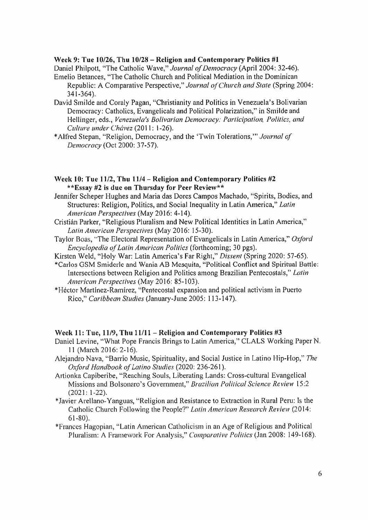#### **Week 9: Tue 10/26, Thu 10/28 - Religion and Contemporary Politics #1**

Daniel Philpott, "The Catholic Wave," *Journal of Democracy* (April 2004: 32-46). Emelio Betances, "The Catholic Church and Political Mediation in the Dominican

- Republic: <sup>A</sup> Comparative Perspective," *Journal of Church and State* (Spring 2004: 341-364).
- David Smilde and Coraly Pagan, "Christianity and Politics in Venezuela's Bolivarian Democracy: Catholics, Evangelicals and Political Polarization," in Smilde and Hellinger, eds., *Venezuela's Bolivarian Democracy: Participation, Politics, and Culture under Chavez* (2011: 1-26).
- \*Alfred Stepan, "Religion, Democracy, and the 'Twin Tolerations,'" *Journal of Democracy* (Oct 2000: 37-57).
- **Week 10: Tue 11/2, Thu 11/4 - Religion and Contemporary Politics #2 \*\*Essay #2 is due on Thursday for Peer Review\*\***
- Jennifer Scheper Hughes and Maria das Dores Campos Machado, "Spirits, Bodies, and Structures: Religion, Politics, and Social Inequality in Latin America," *Latin American Perspectives* (May 2016: 4-14).
- Cristian Parker, "Religious Pluralism and New Political Identities in Latin America," *Latin American Perspectives* (May 2016: 15-30).
- Taylor Boas, "The Electoral Representation of Evangelicals in Latin America," *Oxford Encyclopedia of Latin American Politics* (forthcoming; 30 pgs).
- Kirsten Weld, "Holy War: Latin America's Far Right," *Dissent* (Spring 2020: 57-65).
- Carlos GSM Smiderle and Wania AB Mesquita, "Political Conflict and Spiritual Battle: Intersections between Religion and Politics among Brazilian Pentecostals," *Latin American Perspectives* (May 2016: 85-103).
- Hector Martlnez-Ramlrez, "Pentecostal expansion and political activism in Puerto Rico," *Caribbean Studies* (January-June 2005: 113-147).

# **Week 11: Tue, 11/9, Thu 11/11 - Religion and Contemporary Politics #3**

- Daniel Levine, "What Pope Francis Brings to Latin America," CLALS Working Paper N. 11 (March 2016: 2-16).
- Alejandro Nava, "Barrio Music, Spirituality, and Social Justice in Latino Hip-Hop," *The Oxford Handbook of Latino Studies* (2020: 236-261).
- Artionka Capiberibe, "Reaching Souls, Liberating Lands: Cross-cultural Evangelical Missions and Bolsonaro's Government," *Brazilian Political Science Review* 15:2  $(2021: 1-22)$ .
- Javier Arellano-Yanguas, "Religion and Resistance to Extraction in Rural Peru: Is the Catholic Church Following the People?" *Latin American Research Review* (2014: 61-80).
- Frances Hagopian, "Latin American Catholicism in an Age of Religious and Political Pluralism: A Framework For Analysis," *Comparative Politics* (Jan 2008: 149-168).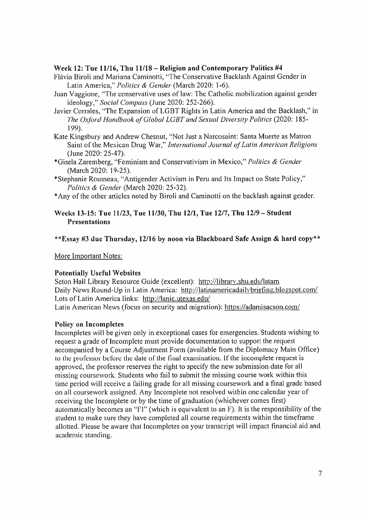#### **Week 12: Tue 11/16, Thu 11/18 - Religion and Contemporary Politics #4**

- Flavia Biroli and Mariana Caminotti, "The Conservative Backlash Against Gender in Latin America," *Politics & Gender* (March 2020: 1-6).
- Juan Vaggione, "The conservative uses of law: The Catholic mobilization against gender ideology," *Social Compass* (June 2020: 252-266).
- Javier Corrales, "The Expansion of LGBT Rights in Latin America and the Backlash," in *The Oxford Handbook of Global LGBT and Sexual Diversity Politics* (2020: 185- 199).
- Kate Kingsbury and Andrew Chesnut, "Not Just <sup>a</sup> Narcosaint: Santa Muerte as Matron Saint of the Mexican Drug War," *International Journal of Latin American Religions* (June 2020: 25-47).
- \*Gi\$ela Zaremberg, "Feminism and Conservativism in Mexico," *Politics & Gender* (March 2020: 19-25).
- \*Stephanie Rousseau, "Antigender Activism in Peru and Its Impact on State Policy," *Politics & Gender* (March 2020: 25-32).
- \*Any of the other articles noted by Biroli and Caminotti on the backlash against gender.

#### **Weeks 13-15: Tue 11/23, Tue 11/30, Thu 12/1, Tue 12/7, Thu 12/9 -Student Presentations**

#### **\*\*Essay #3 due Thursday, 12/16 by noon via Blackboard Safe Assign & hard copy\*\***

More Important Notes:

#### **Potentially Useful Websites**

Seton Hall Library Resource Guide (excellent): http://librarv.shu.edu/latam Daily News Round-Up in Latin America: http://latinamericadailvbriefing.blogspot.com/ Lots of Latin America links: http://lanic.utexas.edu/ Latin American News (focus on security and migration): https://adamisacson.com/

#### **Policy on Incompletes**

Incompletes will be <sup>g</sup>iven only in exceptional cases for emergencies. Students wishing to reques<sup>t</sup> <sup>a</sup> grade of Incomplete must provide documentation to suppor<sup>t</sup> the reques<sup>t</sup> accompanied by <sup>a</sup> Course Adjustment Form (available from the Diplomacy Main Office) to the professor before the date of the final examination. If the incomplete reques<sup>t</sup> is approved, the professor reserves the right to specify the new submission date for all missing coursework. Students who fail to submit the missing course work within this time period will receive <sup>a</sup> failing grade for all missing coursework and <sup>a</sup> final grade based on all coursework assigned. Any Incomplete not resolved within one calendar year of receiving the Incomplete or by the time of graduation (whichever comes first) automatically becomes an "FI" (which is equivalent to an F). It is the responsibility of the student to make sure they have completed all course requirements within the timeframe allotted. Please be aware that Incompletes on your transcript will impact financial aid and academic standing.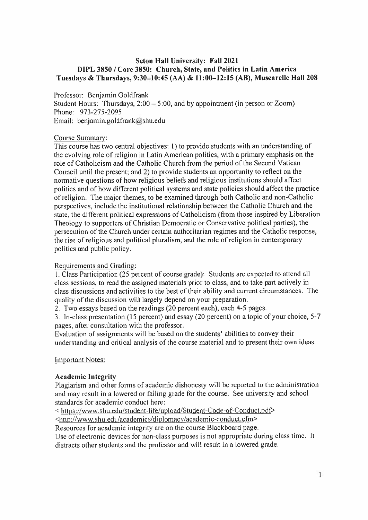# **Seton Hall University: Fall 2021 DIPL 3850 / Core 3850: Church, State, and Politics in Latin America** Tuesdays & Thursdays, 9:30-10:45 (AA) & 11:00-12:15 (AB), Muscarelle Hall 208

Professor: Benjamin Goldfrank

Student Hours: Thursdays,  $2:00 - 5:00$ , and by appointment (in person or Zoom) Phone: 973-275-2095 Email: benjamin.goldfrank@shu.edu

# Course Summary:

This course has two central objectives: 1) to provide students with an understanding of the evolving role of religion in Latin American politics, with <sup>a</sup> primary emphasis on the role of Catholicism and the Catholic Church from the period of the Second Vatican Council until the present; and 2) to provide students an opportunity to reflect on the normative questions of how religious beliefs and religious institutions should affect politics and of how different political systems and state policies should affect the practice of religion. The major themes, to be examined through both Catholic and non-Catholic perspectives, include the institutional relationship between the Catholic Church and the state, the different political expressions of Catholicism (from those inspired by Liberation Theology to supporters of Christian Democratic or Conservative political parties), the persecution of the Church under certain authoritarian regimes and the Catholic response, the rise of religious and political pluralism, and the role of religion in contemporary politics and public policy.

# Requirements and Grading:

1. Class Participation (25 percen<sup>t</sup> of course grade): Students are expected to attend all class sessions, to read the assigned materials prior to class, and to take par<sup>t</sup> actively in class discussions and activities to the best of their ability and current circumstances. The quality of the discussion will largely depend on your preparation.

2. Two essays based on the readings (20 percen<sup>t</sup> each), each 4-5 pages.

3. In-class presentation (15 percent) and essay (20 percent) on <sup>a</sup> topic of your choice, 5-<sup>7</sup> pages, after consultation with the professor.

Evaluation of assignments will be based on the students' abilities to convey their understanding and critical analysis of the course material and to presen<sup>t</sup> their own ideas.

Important Notes:

# **Academic Integrity**

Plagiarism and other forms of academic dishonesty will be reported to the administration and may result in <sup>a</sup> lowered or failing grade for the course. See university and school standards for academic conduct here:

<sup>&</sup>lt; https://www,shu.edu/student-life/upload/Student-Code-of-Conduct.pdf<sup>&</sup>gt;

<sup>&</sup>lt;http://www.shu.edu/academics/diplomacv/academic-conduct.cfm<sup>&</sup>gt;

Resources for academic integrity are on the course Blackboard page.

Use of electronic devices for non-class purposes is not appropriate during class time. It distracts other students and the professor and will result in <sup>a</sup> lowered grade.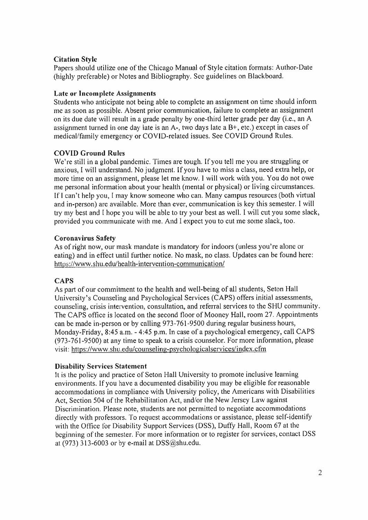# Citation Style

Papers should utilize one of the Chicago Manual of Style citation formats: Author-Date (highly preferable) or Notes and Bibliography. See guidelines on Blackboard.

# Late or Incomplete Assignments

Students who anticipate not being able to complete an assignment on time should inform me as soon as possible. Absent prior communication, failure to complete an assignment on its due date will result in <sup>a</sup> grade penalty by one-third letter grade per day (i.<sup>e</sup>., an <sup>A</sup> assignment turned in one day late is an <sup>A</sup>-, two days late <sup>a</sup> B+, etc.) excep<sup>t</sup> in cases of medical/family emergency or COVID-related issues. See COVID Ground Rules.

# COVID Ground Rules

We're still in a global pandemic. Times are tough. If you tell me you are struggling or anxious, I will understand. No judgment. If you have to miss <sup>a</sup> class, need extra help, or more time on an assignment, <sup>p</sup>lease let me know. I will work with you. You do not owe me persona<sup>l</sup> information about your health (mental or <sup>p</sup>hysical) or living circumstances. If <sup>I</sup> can'<sup>t</sup> help you, <sup>I</sup> may know someone who can. Many campus resources (both virtual and in-person) are available. More than ever, communication is key this semester. I will try my best and <sup>I</sup> hope you will be able to try your best as well. I will cut you some slack, provided you communicate with me. And <sup>1</sup> expec<sup>t</sup> you to cut me some slack, too.

# Coronavirus Safety

As of right now, our mask mandate is mandatory for indoors (unless you're alone or eating) and in effect until further notice. No mask, no class. Updates can be found here: https://www.shu.edu/health-intervention-communication/

# **CAPS**

As par<sup>t</sup> of our commitment to the health and well-being of all students, Seton Hall University's Counseling and Psychological Services (CAPS) offers initial assessments, counseling, crisis intervention, consultation, and referral services to the SHU community. The CAPS office is located on the second floor of Mooney Hall, room 27. Appointments can be made in-person or by calling 973-761-9500 during regular business hours, Monday-Friday, 8:45 <sup>a</sup>.m. - 4:45 <sup>p</sup>.m. In case of <sup>a</sup> psychological emergency, call CAPS (973-761-9500) at any time to spea<sup>k</sup> to <sup>a</sup> crisis counselor. For more information, please visit: https://www.shu.edu/counseling-psychologicalservices/index.cfm

# **Disability Services Statement**

It is the policy and practice of Seton Hall University to promote inclusive learning environments. If you have <sup>a</sup> documented disability you may be eligible for reasonable accommodations in compliance with University policy, the Americans with Disabilities Act, Section 504 of the Rehabilitation Act, and/or the New Jersey Law against Discrimination. Please note, students are not permitted to negotiate accommodations directly with professors. To reques<sup>t</sup> accommodations or assistance, <sup>p</sup>lease self-identify with the Office for Disability Support Services (DSS), Duffy Hall, Room 67 at the beginning of the semester. For more information or to register for services, contact DSS at (973) 313-6003 or by <sup>e</sup>-mail at DSS@shu.edu.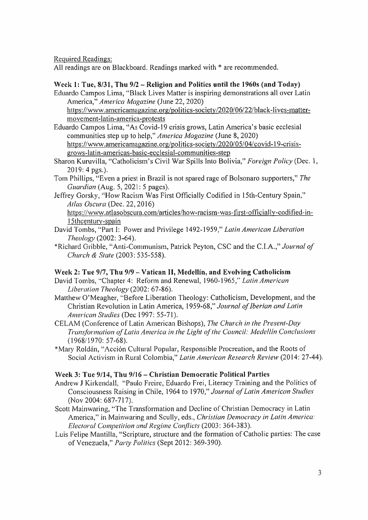Required Readings:

All readings are on Blackboard. Readings marked with \* are recommended.

# **Week 1 : Tue, 8/31, Thu** 9/2 - **Religion and Politics until the 1960s (and Today)**

Eduardo Campos Lima, "Black Lives Matter is inspiring demonstrations all over Latin America," *America Magazine* (June 22, 2020)

https://www.americamagazine.org/politics-societv/2020/06/22/black-lives-mattermovement-latin-america-protests

- Eduardo Campos Lima, "As Covid-19 crisis grows, Latin America's basic ecclesial communities step up to help," *America Magazine* (June 8, 2020) https://www.americamagazine.org/politics-societv/2020/05/Q4/covid-19-crisisgrows-latin-americas-basic-ecclesial-communities-step
- Sharon Kuruvilla, "Catholicism's Civil War Spills Into Bolivia," *Foreign Policy* (Dec. 1, 2019: 4 pgs.).
- Tom Phillips, "Even <sup>a</sup> priest in Brazil is not spared rage of Bolsonaro supporters," *The Guardian* (Aug. 5, 2021: 5 pages).
- Jeffrey Gorsky, "How Racism Was First Officially Codified in 15th-Century Spain," *Atlas Oscura* (Dec. 22, 2016)

https://www.atlasobscura.com/articles/how-racism-was-first-officiallv-codified-in-15thcenturv-spain

- David Tombs, "Part I: Power and Privilege 1492-1959," *Latin American Liberation Theology* (2002: 3-64).
- \*Richard Gribble, "Anti-Communism, Patrick Peyton, CSC and the C.I.A.," *Journal of Church & State* (2003: 535-558).

# **Week 2: Tue 9/7, Thu 9/9 - Vatican II, Medellin, and Evolving Catholicism**

- David Tombs, "Chapter 4: Reform and Renewal, 1960-1965," *Latin American Liberation Theology* (2002: 67-86).
- Matthew O'Meagher, "Before Liberation Theology: Catholicism, Development, and the Christian Revolution in Latin America, 1959-68," *Journal of Iberian and Latin American Studies* (Dec 1997: 55-71).
- CELAM (Conference of Latin American Bishops), *The Church in the Present-Day Transformation of Latin America in the Light of the Council: Medellin Conclusions* (1968/1970: 57-68).
- \*Mary Roldan, "Accion Cultural Popular, Responsible Procreation, and the Roots of Social Activism in Rural Colombia," *Latin American Research Review* (2014: 27-44).

# **Week 3: Tue 9/14, Thu 9/16 -Christian Democratic Political Parties**

- Andrew J Kirkendall, "Paulo Freire, Eduardo Frei, Literacy Training and the Politics of Consciousness Raising in Chile, 1964 to 1970 *f Journal of Latin American Studies* (Nov 2004: 687-717).
- Scott Mainwaring, "The Transformation and Decline of Christian Democracy in Latin America," in Mainwaring and Scully, eds., *Christian Democracy in Latin America: Electoral Competition and Regime Conflicts* (2003: 364-383).
- Luis Felipe Mantilla, "Scripture, structure and the formation of Catholic parties: The case of Venezuela," *Party Politics* (Sept 2012: 369-390).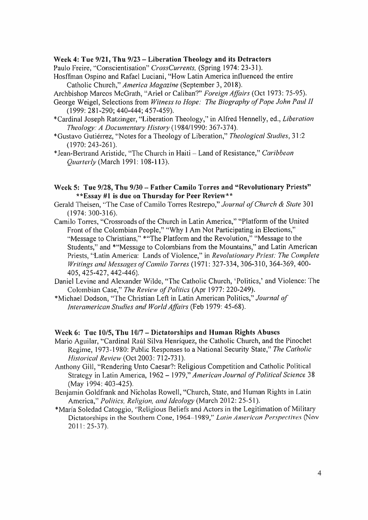#### **Week 4: Tue 9/21, Thu 9/23 -Liberation Theology and its Detractors**

Paulo Freire, ''Conscientisation" *CrossCurrents,* (Spring 1974: 23-31).

Hosffman Ospino and Rafael Luciani, "How Latin America influenced the entire Catholic Church," *America Magazine* (September 3, 2018).

Archbishop Marcos McGrath, "Ariel or Caliban?" *Foreign Affairs* (Oct 1973: 75-95).

- George Weigel, Selections from *Witnessto Hope: The Biography of Pope John Paul II* (1999: 281-290; 440-444; 457-459).
- \*Cardinal Joseph Ratzinger, "Liberation Theology," in Alfred Hennelly, ed., *Liberation Theology: <sup>A</sup> Documentary History* (1984/1990: 367-374).
- \*Gustavo Gutierrez, "Notes for <sup>a</sup> Theology of Liberation," *Theological Studies,* 31:2 (1970: 243-261).

\*Jean-Bertrand Aristide, "The Church in Haiti-Land of Resistance," *Caribbean Quarterly* (March 1991: 108-113).

#### **Week 5: Tue 9/28, Thu 9/30 - Father Camilo Torres and "Revolutionary Priests" \*\*Essay #1 is due on Thursday for Peer Review\*\***

- Gerald Theisen, "The Case of Camilo Torres Restrepo," *Journal of Church & State* 301 (1974: 300-316).
- Camilo Torres, "Crossroads of the Church in Latin America," "Platform of the United Front of the Colombian People," "Why I Am Not Participating in Elections," "Message to Christians," \*"The Platform and the Revolution," "Message to the Students," and \*"Message to Colombians from the Mountains," and Latin American Priests, "Latin America: Lands of Violence," in *Revolutionary Priest: The Complete Writings and Messages of Camilo Torres* (1971: 327-334, 306-310, 364-369, 400- 405, 425-427, 442-446).
- Daniel Levine and Alexander Wilde, "The Catholic Church, 'Politics,' and Violence: The Colombian Case," *The Review of Politics* (Apr 1977: 220-249).
- '•'Michael Dodson, "The Christian Left in Latin American Politics," *Journal of Interamerican Studies and World Affairs* (Feb 1979: 45-68).

#### **Week 6: Tue 10/5, Thu 10/7 - Dictatorships and Human Rights Abuses**

- Mario Aguilar, "Cardinal Raul Silva Henriquez, the Catholic Church, and the Pinochet Regime, 1973-1980: Public Responses to <sup>a</sup> National Security State," *The Catholic Historical Review* (Oct 2003: 712-731).
- Anthony Gill, "Rendering Unto Caesar?: Religious Competition and Catholic Political Strategy in Latin America, 1962 - 1979," *American Journal of Political Science* 38 (May 1994: 403-425).
- Benjamin Goldfrank and Nicholas Rowell, "Church, State, and Human Rights in Latin America," *Politics, Religion, and Ideology* (March 2012: 25-51).
- \*Maria Soledad Catoggio, "Religious Beliefs and Actors in the Legitimation of Military Dictatorships in the Southern Cone, <sup>1964</sup> <sup>1989</sup>," *Latin American Perspectives* (Nov 2011: 25-37).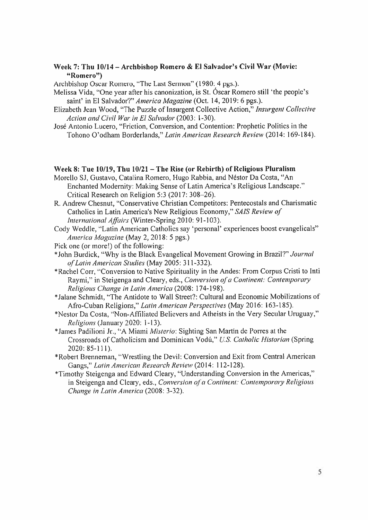#### **Week 7: Thu 10/14 - Archbishop Romero & El Salvador'<sup>s</sup> Civil War (Movie: "Romero")**

Archbishop Oscar Romero, "The Last Sermon" (1980: 4 pgs.).

- Melissa Vida, "One year after his canonization, is St. Óscar Romero still 'the people's saint' in El *Salvador?' America Magazine* (Oct. 14, 2019: 6 pgs.).
- Elizabeth Jean Wood, "The Puzzle of Insurgent Collective Action," *Insurgent Collective Action and Civil War in El Salvador* (2003: 1-30).
- Jose Antonio Lucero, "Friction, Conversion, and Contention: Prophetic Politics in the Tohono O'odham Borderlands," *Latin American Research Review* (2014: 169-184).

#### **Week 8: Tue 10/19, Thu 10/21 -The Rise (or Rebirth) of Religious Pluralism**

- Morello SJ, Gustavo, Catalina Romero, Hugo Rabbia, and Nestor Da Costa, "An Enchanted Modernity: Making Sense of Latin America'<sup>s</sup> Religious Landscape." Critical Research on Religion 5:3 (2017: 308-26).
- R. Andrew Chesnut, "Conservative Christian Competitors: Pentecostals and Charismatic Catholics in Latin America'<sup>s</sup> New Religious Economy," *SAIS Review of International Affairs* (Winter-Spring 2010: 91-103).
- Cody Weddle, "Latin American Catholics say 'personal' experiences boost evangelicals" *America Magazine* (May 2, 2018: 5 pgs.)
- Pick one (or more!) of the following:
- "" John Burdick, "Why is the Black Evangelical Movement Growing in Brazil?" *Journal of Latin American Studies* (May 2005: 311-332).
- \*Rachel Corr, "Conversion to Native Spirituality in the Andes: From Corpus Cristi to Inti Raymi," in Steigenga and Cleary, eds., *Conversion of <sup>a</sup> Continent: Contemporary Religious Change in Latin America* (2008: 174-198).
- \*Jalane Schmidt, "The Antidote to Wall Street?: Cultural and Economic Mobilizations of Afro-Cuban Religions," *Latin American Perspectives*(May 2016: 163-185).
- \*Nestor Da Costa, "Non-Affiliated Believers and Atheists in the Very Secular Uruguay," *Religions* (January 2020: 1-13).
- \*James Padilioni Jr., "A Miami *Misterio*: Sighting San Martin de Pones at the Crossroads of Catholicism and Dominican Vodu," *U.S. Catholic Historian* (Spring 2020: 85-111).
- \*Robert Brenneman, "Wrestling the Devil: Conversion and Exit from Central American Gangs," *Latin American Research Review* (2014: 112-128).
- \*Timothy Steigenga and Edward Cleary, "Understanding Conversion in the Americas," in Steigenga and Cleary, eds., *Conversion of <sup>a</sup> Continent: Contemporary Religious Change in Latin America* (2008: 3-32).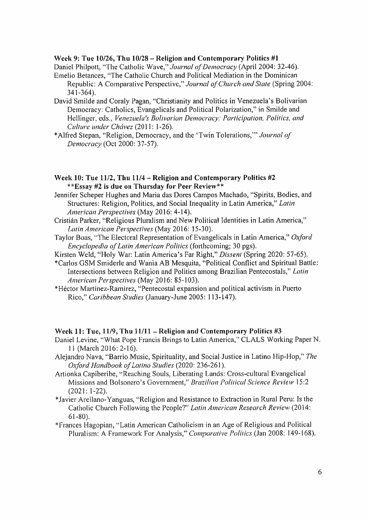#### **Week 9: Tue 10/26, Thu 10/28 - Religion and Contemporary Politics #1**

Daniel Philpott, "The Catholic Wave," *Journal of Democracy* (April 2004: 32-46). Emelio Betances, "The Catholic Church and Political Mediation in the Dominican

- Republic: <sup>A</sup> Comparative Perspective," *Journal of Church and Stale* (Spring 2004: 341-364).
- David Smilde and Coraly Pagan, "Christianity and Politics in Venezuela's Bolivarian Democracy: Catholics, Evangelicals and Political Polarization," in Smilde and Hellinger, eds., *Venezuela's Bolivarian Democracy: Participation, Politics, and Culture under Chavez* (2011: 1-26).
- Alfred Stepan, "Religion, Democracy, and the 'Twin Tolerations,'" *Journal of Democracy* (Oct 2000: 37-57).
- **Week 10: Tue 11/2, Thu 11/4 - Religion and Contemporary Politics #2 \*\*Essay #2 is due on Thursday for Peer Review\*\***
- Jennifer Scheper Hughes and Maria das Dores Campos Machado, "Spirits, Bodies, and Structures: Religion, Politics, and Social Inequality in Latin America," *Latin American Perspectives* (May 2016: 4-14).
- Cristian Parker, "Religious Pluralism and New Political Identities in Latin America," *Latin American Perspectives* (May 2016: 15-30).
- Taylor Boas, "The Electoral Representation of Evangelicals in Latin America," *Oxford Encyclopedia of Latin American Politics* (forthcoming; 30 pgs).
- Kirsten Weld, "Holy War: Latin America's Far Right," *Dissent* (Spring 2020: 57-65).
- Carlos GSM Smiderle and Wania AB Mesquita, "Political Conflict and Spiritual Battle: Intersections between Religion and Politics among Brazilian Pentecostals," *Latin American Perspectives* (May 2016: 85-103).
- Hector Martinez-Ramirez, "Pentecostal expansion and political activism in Puerto Rico," *Caribbean Studies* (January-June 2005: 113-147).

#### **Week 11: Tue, 11/9, Thu 11/11 - Religion and Contemporary Politics #3**

- Daniel Levine, "What Pope Francis Brings to Latin America," CLALS Working Paper N. 11 (March 2016: 2-16).
- Alejandro Nava, "Barrio Music, Spirituality, and Social Justice in Latino Hip-Hop," *The Oxford Handbook of Latino Studies* (2020: 236-261).
- Artionka Capiberibe, "Reaching Souls, Liberating Lands: Cross-cultural Evangelical Missions and Bolsonaro's Government," *Brazilian Political Science Review* 15:2 **(**2021**:** 1 **-**22**).**
- Javier Arellano-Yanguas, "Religion and Resistance to Extraction in Rural Peru: Is the Catholic Church Following the People?" *Latin American Research Review* (2014: 61-80).
- Frances Hagopian, "Latin American Catholicism in an Age of Religious and Political Pluralism: <sup>A</sup> Framework For Analysis," *Comparative Politics* (Jan 2008: 149-168).